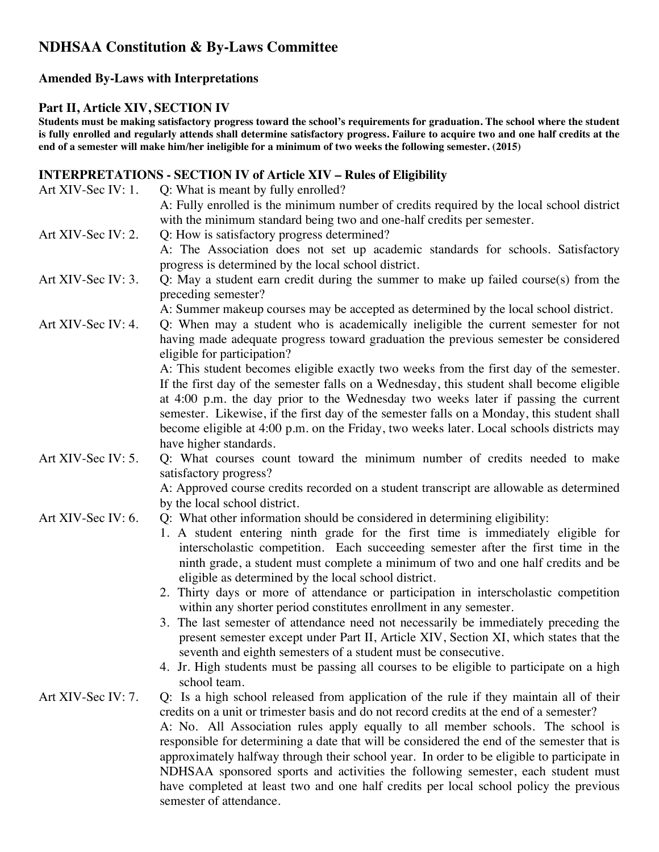# **NDHSAA Constitution & By-Laws Committee**

## **Amended By-Laws with Interpretations**

#### **Part II, Article XIV, SECTION IV**

**Students must be making satisfactory progress toward the school's requirements for graduation. The school where the student is fully enrolled and regularly attends shall determine satisfactory progress. Failure to acquire two and one half credits at the end of a semester will make him/her ineligible for a minimum of two weeks the following semester. (2015)**

# **INTERPRETATIONS - SECTION IV of Article XIV – Rules of Eligibility**

| Art XIV-Sec IV: 1. | Q: What is meant by fully enrolled?                                                        |
|--------------------|--------------------------------------------------------------------------------------------|
|                    | A: Fully enrolled is the minimum number of credits required by the local school district   |
|                    | with the minimum standard being two and one-half credits per semester.                     |
| Art XIV-Sec IV: 2. | Q: How is satisfactory progress determined?                                                |
|                    | A: The Association does not set up academic standards for schools. Satisfactory            |
|                    | progress is determined by the local school district.                                       |
| Art XIV-Sec IV: 3. | Q: May a student earn credit during the summer to make up failed course(s) from the        |
|                    | preceding semester?                                                                        |
|                    | A: Summer makeup courses may be accepted as determined by the local school district.       |
| Art XIV-Sec IV: 4. | Q: When may a student who is academically ineligible the current semester for not          |
|                    | having made adequate progress toward graduation the previous semester be considered        |
|                    | eligible for participation?                                                                |
|                    | A: This student becomes eligible exactly two weeks from the first day of the semester.     |
|                    | If the first day of the semester falls on a Wednesday, this student shall become eligible  |
|                    | at 4:00 p.m. the day prior to the Wednesday two weeks later if passing the current         |
|                    | semester. Likewise, if the first day of the semester falls on a Monday, this student shall |
|                    | become eligible at 4:00 p.m. on the Friday, two weeks later. Local schools districts may   |
|                    | have higher standards.                                                                     |
| Art XIV-Sec IV: 5. | Q: What courses count toward the minimum number of credits needed to make                  |
|                    |                                                                                            |
|                    | satisfactory progress?                                                                     |
|                    | A: Approved course credits recorded on a student transcript are allowable as determined    |
|                    | by the local school district.                                                              |
| Art XIV-Sec IV: 6. | Q: What other information should be considered in determining eligibility:                 |
|                    | 1. A student entering ninth grade for the first time is immediately eligible for           |
|                    | interscholastic competition. Each succeeding semester after the first time in the          |
|                    | ninth grade, a student must complete a minimum of two and one half credits and be          |
|                    | eligible as determined by the local school district.                                       |
|                    | 2. Thirty days or more of attendance or participation in interscholastic competition       |
|                    | within any shorter period constitutes enrollment in any semester.                          |
|                    | 3. The last semester of attendance need not necessarily be immediately preceding the       |
|                    | present semester except under Part II, Article XIV, Section XI, which states that the      |
|                    | seventh and eighth semesters of a student must be consecutive.                             |
|                    | 4. Jr. High students must be passing all courses to be eligible to participate on a high   |
|                    | school team.                                                                               |
| Art XIV-Sec IV: 7. | Q: Is a high school released from application of the rule if they maintain all of their    |
|                    | credits on a unit or trimester basis and do not record credits at the end of a semester?   |
|                    | A: No. All Association rules apply equally to all member schools. The school is            |
|                    | responsible for determining a date that will be considered the end of the semester that is |
|                    | approximately halfway through their school year. In order to be eligible to participate in |
|                    | NDHSAA sponsored sports and activities the following semester, each student must           |
|                    | have completed at least two and one half credits per local school policy the previous      |
|                    | semester of attendance.                                                                    |